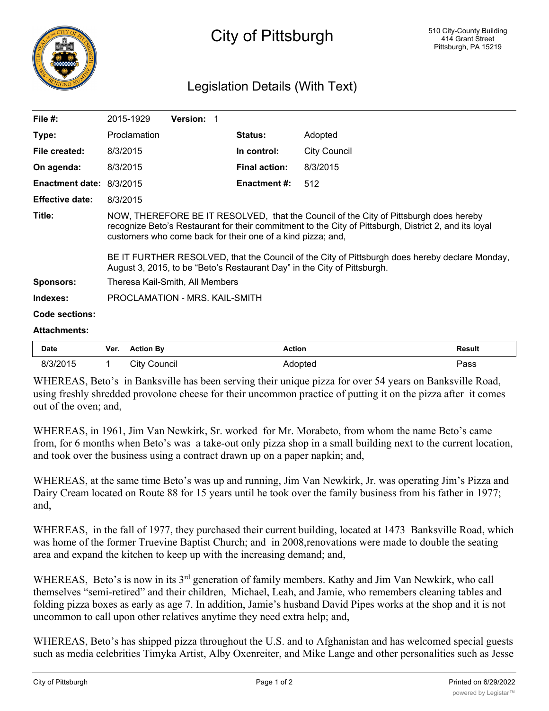

## City of Pittsburgh

## Legislation Details (With Text)

| File $#$ :                      | 2015-1929                                                                                                                                                                                                                                                                                                                                                                                                                                   | <b>Version: 1</b> |                      |                     |  |  |
|---------------------------------|---------------------------------------------------------------------------------------------------------------------------------------------------------------------------------------------------------------------------------------------------------------------------------------------------------------------------------------------------------------------------------------------------------------------------------------------|-------------------|----------------------|---------------------|--|--|
| Type:                           | Proclamation                                                                                                                                                                                                                                                                                                                                                                                                                                |                   | <b>Status:</b>       | Adopted             |  |  |
| File created:                   | 8/3/2015                                                                                                                                                                                                                                                                                                                                                                                                                                    |                   | In control:          | <b>City Council</b> |  |  |
| On agenda:                      | 8/3/2015                                                                                                                                                                                                                                                                                                                                                                                                                                    |                   | <b>Final action:</b> | 8/3/2015            |  |  |
| <b>Enactment date: 8/3/2015</b> |                                                                                                                                                                                                                                                                                                                                                                                                                                             |                   | Enactment #:         | 512                 |  |  |
| <b>Effective date:</b>          | 8/3/2015                                                                                                                                                                                                                                                                                                                                                                                                                                    |                   |                      |                     |  |  |
| Title:                          | NOW, THEREFORE BE IT RESOLVED, that the Council of the City of Pittsburgh does hereby<br>recognize Beto's Restaurant for their commitment to the City of Pittsburgh, District 2, and its loyal<br>customers who come back for their one of a kind pizza; and,<br>BE IT FURTHER RESOLVED, that the Council of the City of Pittsburgh does hereby declare Monday,<br>August 3, 2015, to be "Beto's Restaurant Day" in the City of Pittsburgh. |                   |                      |                     |  |  |
| <b>Sponsors:</b>                | Theresa Kail-Smith, All Members                                                                                                                                                                                                                                                                                                                                                                                                             |                   |                      |                     |  |  |
| Indexes:                        | PROCLAMATION - MRS. KAIL-SMITH                                                                                                                                                                                                                                                                                                                                                                                                              |                   |                      |                     |  |  |
| <b>Code sections:</b>           |                                                                                                                                                                                                                                                                                                                                                                                                                                             |                   |                      |                     |  |  |
| <b>Attachments:</b>             |                                                                                                                                                                                                                                                                                                                                                                                                                                             |                   |                      |                     |  |  |

| <b>Date</b> | Ver. | <b>Action By</b> | Action  | <b>Result</b> |
|-------------|------|------------------|---------|---------------|
| 8/3/2015    |      | City Council     | Adopted | Pass          |

WHEREAS, Beto's in Banksville has been serving their unique pizza for over 54 years on Banksville Road, using freshly shredded provolone cheese for their uncommon practice of putting it on the pizza after it comes out of the oven; and,

WHEREAS, in 1961, Jim Van Newkirk, Sr. worked for Mr. Morabeto, from whom the name Beto's came from, for 6 months when Beto's was a take-out only pizza shop in a small building next to the current location, and took over the business using a contract drawn up on a paper napkin; and,

WHEREAS, at the same time Beto's was up and running, Jim Van Newkirk, Jr. was operating Jim's Pizza and Dairy Cream located on Route 88 for 15 years until he took over the family business from his father in 1977; and,

WHEREAS, in the fall of 1977, they purchased their current building, located at 1473 Banksville Road, which was home of the former Truevine Baptist Church; and in 2008, renovations were made to double the seating area and expand the kitchen to keep up with the increasing demand; and,

WHEREAS, Beto's is now in its 3rd generation of family members. Kathy and Jim Van Newkirk, who call themselves "semi-retired" and their children, Michael, Leah, and Jamie, who remembers cleaning tables and folding pizza boxes as early as age 7. In addition, Jamie's husband David Pipes works at the shop and it is not uncommon to call upon other relatives anytime they need extra help; and,

WHEREAS, Beto's has shipped pizza throughout the U.S. and to Afghanistan and has welcomed special guests such as media celebrities Timyka Artist, Alby Oxenreiter, and Mike Lange and other personalities such as Jesse